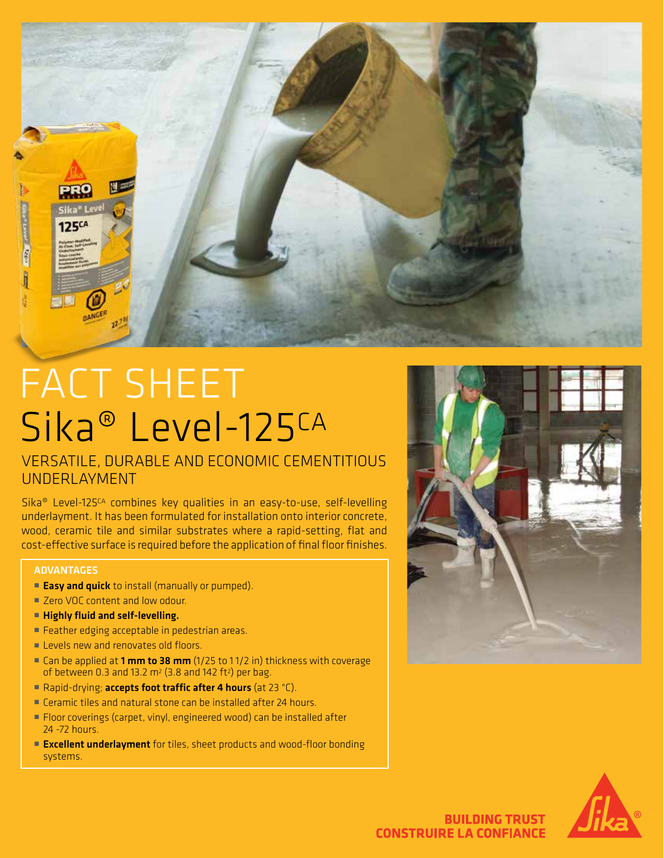

# FACT SHEET Sika® Level-125CA

### VERSATILE, DURABLE AND ECONOMIC CEMENTITIOUS UNDERLAYMENT

Sika® Level-125CA combines key qualities in an easy-to-use, self-levelling underlayment. It has been formulated for installation onto interior concrete, wood, ceramic tile and similar substrates where a rapid-setting, flat and cost-effective surface is required before the application of final floor finishes.

#### ADVANTAGES

- **Easy and quick** to install (manually or pumped).
- Zero VOC content and low odour.
- Highly fluid and self-levelling.
- Feather edging acceptable in pedestrian areas.
- **E** Levels new and renovates old floors.
- Can be applied at 1 mm to 38 mm  $(1/25$  to 11/2 in) thickness with coverage of between 0.3 and 13.2  $m^2$  (3.8 and 142 ft<sup>2</sup>) per bag.
- Rapid-drying; accepts foot traffic after 4 hours (at 23 °C).
- Ceramic tiles and natural stone can be installed after 24 hours.
- Floor coverings (carpet, vinyl, engineered wood) can be installed after 24 -72 hours.
- **Excellent underlayment** for tiles, sheet products and wood-floor bonding systems.





**BUILDING TRUST CONSTRUIRE LA CONFIANCE**